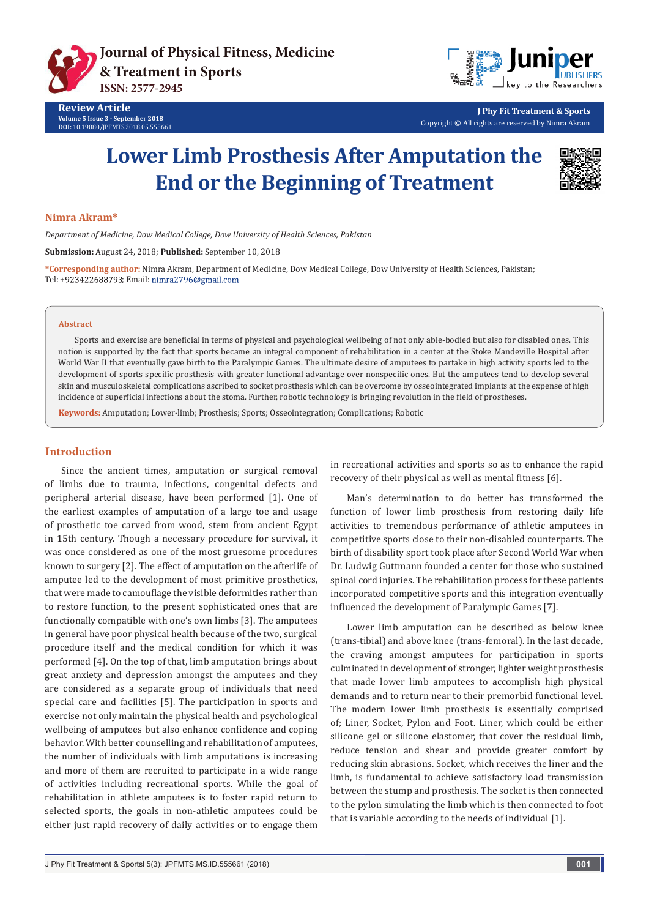



**J Phy Fit Treatment & Sports** Copyright © All rights are reserved by Nimra Akram

# **Lower Limb Prosthesis After Amputation the End or the Beginning of Treatment**



### **Nimra Akram\***

*Department of Medicine, Dow Medical College, Dow University of Health Sciences, Pakistan*

**Submission:** August 24, 2018; **Published:** September 10, 2018

**\*Corresponding author:** Nimra Akram, Department of Medicine, Dow Medical College, Dow University of Health Sciences, Pakistan; Tel: +923422688793; Email: nimra2796@gmail.com

#### **Abstract**

Sports and exercise are beneficial in terms of physical and psychological wellbeing of not only able-bodied but also for disabled ones. This notion is supported by the fact that sports became an integral component of rehabilitation in a center at the Stoke Mandeville Hospital after World War II that eventually gave birth to the Paralympic Games. The ultimate desire of amputees to partake in high activity sports led to the development of sports specific prosthesis with greater functional advantage over nonspecific ones. But the amputees tend to develop several skin and musculoskeletal complications ascribed to socket prosthesis which can be overcome by osseointegrated implants at the expense of high incidence of superficial infections about the stoma. Further, robotic technology is bringing revolution in the field of prostheses.

**Keywords:** Amputation; Lower-limb; Prosthesis; Sports; Osseointegration; Complications; Robotic

## **Introduction**

Since the ancient times, amputation or surgical removal of limbs due to trauma, infections, congenital defects and peripheral arterial disease, have been performed [1]. One of the earliest examples of amputation of a large toe and usage of prosthetic toe carved from wood, stem from ancient Egypt in 15th century. Though a necessary procedure for survival, it was once considered as one of the most gruesome procedures known to surgery [2]. The effect of amputation on the afterlife of amputee led to the development of most primitive prosthetics, that were made to camouflage the visible deformities rather than to restore function, to the present sophisticated ones that are functionally compatible with one's own limbs [3]. The amputees in general have poor physical health because of the two, surgical procedure itself and the medical condition for which it was performed [4]. On the top of that, limb amputation brings about great anxiety and depression amongst the amputees and they are considered as a separate group of individuals that need special care and facilities [5]. The participation in sports and exercise not only maintain the physical health and psychological wellbeing of amputees but also enhance confidence and coping behavior. With better counselling and rehabilitation of amputees, the number of individuals with limb amputations is increasing and more of them are recruited to participate in a wide range of activities including recreational sports. While the goal of rehabilitation in athlete amputees is to foster rapid return to selected sports, the goals in non-athletic amputees could be either just rapid recovery of daily activities or to engage them

in recreational activities and sports so as to enhance the rapid recovery of their physical as well as mental fitness [6].

Man's determination to do better has transformed the function of lower limb prosthesis from restoring daily life activities to tremendous performance of athletic amputees in competitive sports close to their non-disabled counterparts. The birth of disability sport took place after Second World War when Dr. Ludwig Guttmann founded a center for those who sustained spinal cord injuries. The rehabilitation process for these patients incorporated competitive sports and this integration eventually influenced the development of Paralympic Games [7].

Lower limb amputation can be described as below knee (trans-tibial) and above knee (trans-femoral). In the last decade, the craving amongst amputees for participation in sports culminated in development of stronger, lighter weight prosthesis that made lower limb amputees to accomplish high physical demands and to return near to their premorbid functional level. The modern lower limb prosthesis is essentially comprised of; Liner, Socket, Pylon and Foot. Liner, which could be either silicone gel or silicone elastomer, that cover the residual limb, reduce tension and shear and provide greater comfort by reducing skin abrasions. Socket, which receives the liner and the limb, is fundamental to achieve satisfactory load transmission between the stump and prosthesis. The socket is then connected to the pylon simulating the limb which is then connected to foot that is variable according to the needs of individual [1].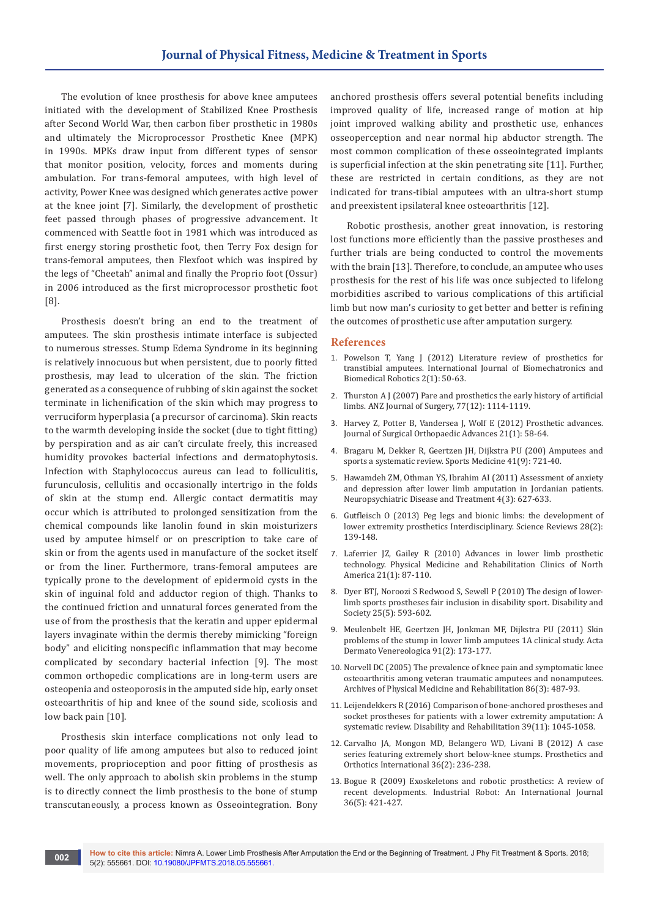The evolution of knee prosthesis for above knee amputees initiated with the development of Stabilized Knee Prosthesis after Second World War, then carbon fiber prosthetic in 1980s and ultimately the Microprocessor Prosthetic Knee (MPK) in 1990s. MPKs draw input from different types of sensor that monitor position, velocity, forces and moments during ambulation. For trans-femoral amputees, with high level of activity, Power Knee was designed which generates active power at the knee joint [7]. Similarly, the development of prosthetic feet passed through phases of progressive advancement. It commenced with Seattle foot in 1981 which was introduced as first energy storing prosthetic foot, then Terry Fox design for trans-femoral amputees, then Flexfoot which was inspired by the legs of "Cheetah" animal and finally the Proprio foot (Ossur) in 2006 introduced as the first microprocessor prosthetic foot [8].

Prosthesis doesn't bring an end to the treatment of amputees. The skin prosthesis intimate interface is subjected to numerous stresses. Stump Edema Syndrome in its beginning is relatively innocuous but when persistent, due to poorly fitted prosthesis, may lead to ulceration of the skin. The friction generated as a consequence of rubbing of skin against the socket terminate in lichenification of the skin which may progress to verruciform hyperplasia (a precursor of carcinoma). Skin reacts to the warmth developing inside the socket (due to tight fitting) by perspiration and as air can't circulate freely, this increased humidity provokes bacterial infections and dermatophytosis. Infection with Staphylococcus aureus can lead to folliculitis, furunculosis, cellulitis and occasionally intertrigo in the folds of skin at the stump end. Allergic contact dermatitis may occur which is attributed to prolonged sensitization from the chemical compounds like lanolin found in skin moisturizers used by amputee himself or on prescription to take care of skin or from the agents used in manufacture of the socket itself or from the liner. Furthermore, trans-femoral amputees are typically prone to the development of epidermoid cysts in the skin of inguinal fold and adductor region of thigh. Thanks to the continued friction and unnatural forces generated from the use of from the prosthesis that the keratin and upper epidermal layers invaginate within the dermis thereby mimicking "foreign body" and eliciting nonspecific inflammation that may become complicated by secondary bacterial infection [9]. The most common orthopedic complications are in long-term users are osteopenia and osteoporosis in the amputed side hip, early onset osteoarthritis of hip and knee of the sound side, scoliosis and low back pain [10].

Prosthesis skin interface complications not only lead to poor quality of life among amputees but also to reduced joint movements, proprioception and poor fitting of prosthesis as well. The only approach to abolish skin problems in the stump is to directly connect the limb prosthesis to the bone of stump transcutaneously, a process known as Osseointegration. Bony

anchored prosthesis offers several potential benefits including improved quality of life, increased range of motion at hip joint improved walking ability and prosthetic use, enhances osseoperception and near normal hip abductor strength. The most common complication of these osseointegrated implants is superficial infection at the skin penetrating site [11]. Further, these are restricted in certain conditions, as they are not indicated for trans-tibial amputees with an ultra-short stump and preexistent ipsilateral knee osteoarthritis [12].

Robotic prosthesis, another great innovation, is restoring lost functions more efficiently than the passive prostheses and further trials are being conducted to control the movements with the brain [13]. Therefore, to conclude, an amputee who uses prosthesis for the rest of his life was once subjected to lifelong morbidities ascribed to various complications of this artificial limb but now man's curiosity to get better and better is refining the outcomes of prosthetic use after amputation surgery.

#### **References**

- 1. [Powelson T, Yang J \(2012\) Literature review of prosthetics for](https://www.inderscienceonline.com/doi/abs/10.1504/IJBBR.2012.049595)  [transtibial amputees. International Journal of Biomechatronics and](https://www.inderscienceonline.com/doi/abs/10.1504/IJBBR.2012.049595)  [Biomedical Robotics 2\(1\): 50-63.](https://www.inderscienceonline.com/doi/abs/10.1504/IJBBR.2012.049595)
- 2. [Thurston A J \(2007\) Pare and prosthetics the early history of artificial](https://www.ncbi.nlm.nih.gov/pubmed/17973673)  [limbs. ANZ Journal of Surgery, 77\(12\): 1114-1119.](https://www.ncbi.nlm.nih.gov/pubmed/17973673)
- 3. [Harvey Z, Potter B, Vandersea J, Wolf E \(2012\) Prosthetic advances.](https://www.ncbi.nlm.nih.gov/pubmed/22381512)  [Journal of Surgical Orthopaedic Advances 21\(1\): 58-64.](https://www.ncbi.nlm.nih.gov/pubmed/22381512)
- 4. [Bragaru M, Dekker R, Geertzen JH, Dijkstra PU \(200\) Amputees and](https://www.ncbi.nlm.nih.gov/pubmed/21846162)  [sports a systematic review. Sports Medicine 41\(9\): 721-40.](https://www.ncbi.nlm.nih.gov/pubmed/21846162)
- 5. [Hawamdeh ZM, Othman YS, Ibrahim AI \(2011\) Assessment of anxiety](https://www.dovepress.com/assessment-of-anxiety-and-depression-after-lower-limb-amputation-in-jo-peer-reviewed-article-NDT)  [and depression after lower limb amputation in Jordanian patients.](https://www.dovepress.com/assessment-of-anxiety-and-depression-after-lower-limb-amputation-in-jo-peer-reviewed-article-NDT)  [Neuropsychiatric Disease and Treatment 4\(3\): 627-633.](https://www.dovepress.com/assessment-of-anxiety-and-depression-after-lower-limb-amputation-in-jo-peer-reviewed-article-NDT)
- 6. [Gutfleisch O \(2013\) Peg legs and bionic limbs: the development of](https://www.tandfonline.com/doi/abs/10.1179/030801803225010368)  [lower extremity prosthetics Interdisciplinary. Science Reviews 28\(2\):](https://www.tandfonline.com/doi/abs/10.1179/030801803225010368)  [139-148.](https://www.tandfonline.com/doi/abs/10.1179/030801803225010368)
- 7. [Laferrier JZ, Gailey R \(2010\) Advances in lower limb prosthetic](https://www.ncbi.nlm.nih.gov/pubmed/19951780)  [technology. Physical Medicine and Rehabilitation Clinics of North](https://www.ncbi.nlm.nih.gov/pubmed/19951780)  [America 21\(1\): 87-110.](https://www.ncbi.nlm.nih.gov/pubmed/19951780)
- 8. [Dyer BTJ, Noroozi S Redwood S, Sewell P \(2010\) The design of lower](https://www.tandfonline.com/doi/abs/10.1080/09687599.2010.489309)[limb sports prostheses fair inclusion in disability sport. Disability and](https://www.tandfonline.com/doi/abs/10.1080/09687599.2010.489309)  [Society 25\(5\): 593-602.](https://www.tandfonline.com/doi/abs/10.1080/09687599.2010.489309)
- 9. [Meulenbelt HE, Geertzen JH, Jonkman MF, Dijkstra PU \(2011\) Skin](https://www.ncbi.nlm.nih.gov/pubmed/21290085)  [problems of the stump in lower limb amputees 1A clinical study. Acta](https://www.ncbi.nlm.nih.gov/pubmed/21290085)  [Dermato Venereologica 91\(2\): 173-177.](https://www.ncbi.nlm.nih.gov/pubmed/21290085)
- 10. [Norvell DC \(2005\) The prevalence of knee pain and symptomatic knee](https://www.ncbi.nlm.nih.gov/pubmed/15759233)  [osteoarthritis among veteran traumatic amputees and nonamputees.](https://www.ncbi.nlm.nih.gov/pubmed/15759233)  [Archives of Physical Medicine and Rehabilitation 86\(3\): 487-93.](https://www.ncbi.nlm.nih.gov/pubmed/15759233)
- 11. [Leijendekkers R \(2016\) Comparison of bone-anchored prostheses and](https://www.researchgate.net/publication/305924668_Comparison_of_bone-anchored_prostheses_and_socket_prostheses_for_patients_with_a_lower_extremity_amputation_a_systematic_review)  [socket prostheses for patients with a lower extremity amputation: A](https://www.researchgate.net/publication/305924668_Comparison_of_bone-anchored_prostheses_and_socket_prostheses_for_patients_with_a_lower_extremity_amputation_a_systematic_review)  [systematic review. Disability and Rehabilitation 39\(11\): 1045-1058.](https://www.researchgate.net/publication/305924668_Comparison_of_bone-anchored_prostheses_and_socket_prostheses_for_patients_with_a_lower_extremity_amputation_a_systematic_review)
- 12. [Carvalho JA, Mongon MD, Belangero WD, Livani B \(2012\) A case](https://www.ncbi.nlm.nih.gov/pubmed/22170876)  [series featuring extremely short below-knee stumps. Prosthetics and](https://www.ncbi.nlm.nih.gov/pubmed/22170876)  [Orthotics International 36\(2\): 236-238.](https://www.ncbi.nlm.nih.gov/pubmed/22170876)
- 13. [Bogue R \(2009\) Exoskeletons and robotic prosthetics: A review of](https://www.researchgate.net/publication/241700449_Exoskeletons_and_robotic_prosthetics_A_review_of_recent_developments)  [recent developments. Industrial Robot: An International Journal](https://www.researchgate.net/publication/241700449_Exoskeletons_and_robotic_prosthetics_A_review_of_recent_developments)  [36\(5\): 421-427.](https://www.researchgate.net/publication/241700449_Exoskeletons_and_robotic_prosthetics_A_review_of_recent_developments)